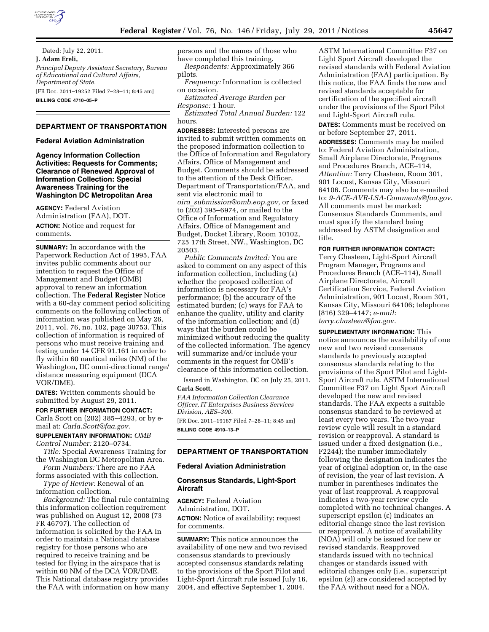

Dated: July 22, 2011. **J. Adam Ereli,**  *Principal Deputy Assistant Secretary, Bureau of Educational and Cultural Affairs, Department of State.*  [FR Doc. 2011–19252 Filed 7–28–11; 8:45 am]

**BILLING CODE 4710–05–P** 

#### **DEPARTMENT OF TRANSPORTATION**

#### **Federal Aviation Administration**

**Agency Information Collection Activities: Requests for Comments; Clearance of Renewed Approval of Information Collection: Special Awareness Training for the Washington DC Metropolitan Area** 

**AGENCY:** Federal Aviation Administration (FAA), DOT. **ACTION:** Notice and request for comments.

**SUMMARY:** In accordance with the Paperwork Reduction Act of 1995, FAA invites public comments about our intention to request the Office of Management and Budget (OMB) approval to renew an information collection. The **Federal Register** Notice with a 60-day comment period soliciting comments on the following collection of information was published on May 26, 2011, vol. 76, no. 102, page 30753. This collection of information is required of persons who must receive training and testing under 14 CFR 91.161 in order to fly within 60 nautical miles (NM) of the Washington, DC omni-directional range/ distance measuring equipment (DCA VOR/DME).

**DATES:** Written comments should be submitted by August 29, 2011.

#### **FOR FURTHER INFORMATION CONTACT:**

Carla Scott on (202) 385–4293, or by email at: *[Carla.Scott@faa.gov.](mailto:Carla.Scott@faa.gov)* 

### **SUPPLEMENTARY INFORMATION:** *OMB Control Number:* 2120–0734.

*Title:* Special Awareness Training for the Washington DC Metropolitan Area.

*Form Numbers:* There are no FAA forms associated with this collection. *Type of Review:* Renewal of an

information collection.

*Background:* The final rule containing this information collection requirement was published on August 12, 2008 (73 FR 46797). The collection of information is solicited by the FAA in order to maintain a National database registry for those persons who are required to receive training and be tested for flying in the airspace that is within 60 NM of the DCA VOR/DME. This National database registry provides the FAA with information on how many

persons and the names of those who have completed this training. *Respondents:* Approximately 366 pilots.

*Frequency:* Information is collected on occasion.

*Estimated Average Burden per Response:* 1 hour.

*Estimated Total Annual Burden:* 122 hours.

**ADDRESSES:** Interested persons are invited to submit written comments on the proposed information collection to the Office of Information and Regulatory Affairs, Office of Management and Budget. Comments should be addressed to the attention of the Desk Officer, Department of Transportation/FAA, and sent via electronic mail to *oira*\_*[submission@omb.eop.gov,](mailto:oira_submission@omb.eop.gov)* or faxed to (202) 395–6974, or mailed to the Office of Information and Regulatory Affairs, Office of Management and Budget, Docket Library, Room 10102, 725 17th Street, NW., Washington, DC 20503.

*Public Comments Invited:* You are asked to comment on any aspect of this information collection, including (a) whether the proposed collection of information is necessary for FAA's performance; (b) the accuracy of the estimated burden; (c) ways for FAA to enhance the quality, utility and clarity of the information collection; and (d) ways that the burden could be minimized without reducing the quality of the collected information. The agency will summarize and/or include your comments in the request for OMB's clearance of this information collection.

Issued in Washington, DC on July 25, 2011. **Carla Scott,** 

*FAA Information Collection Clearance Officer, IT Enterprises Business Services Division, AES–300.* 

[FR Doc. 2011–19167 Filed 7–28–11; 8:45 am] **BILLING CODE 4910–13–P** 

# **DEPARTMENT OF TRANSPORTATION**

### **Federal Aviation Administration**

### **Consensus Standards, Light-Sport Aircraft**

**AGENCY:** Federal Aviation Administration, DOT. **ACTION:** Notice of availability; request for comments.

**SUMMARY:** This notice announces the availability of one new and two revised consensus standards to previously accepted consensus standards relating to the provisions of the Sport Pilot and Light-Sport Aircraft rule issued July 16, 2004, and effective September 1, 2004.

ASTM International Committee F37 on Light Sport Aircraft developed the revised standards with Federal Aviation Administration (FAA) participation. By this notice, the FAA finds the new and revised standards acceptable for certification of the specified aircraft under the provisions of the Sport Pilot and Light-Sport Aircraft rule.

**DATES:** Comments must be received on or before September 27, 2011.

**ADDRESSES:** Comments may be mailed to: Federal Aviation Administration, Small Airplane Directorate, Programs and Procedures Branch, ACE–114, *Attention:* Terry Chasteen, Room 301, 901 Locust, Kansas City, Missouri 64106. Comments may also be e-mailed to: *[9-ACE-AVR-LSA-Comments@faa.gov.](mailto:9-ACE-AVR-LSA-Comments@faa.gov)*  All comments must be marked: Consensus Standards Comments, and must specify the standard being addressed by ASTM designation and title.

### **FOR FURTHER INFORMATION CONTACT:**

Terry Chasteen, Light-Sport Aircraft Program Manager, Programs and Procedures Branch (ACE–114), Small Airplane Directorate, Aircraft Certification Service, Federal Aviation Administration, 901 Locust, Room 301, Kansas City, Missouri 64106; telephone (816) 329–4147; *e-mail: [terry.chasteen@faa.gov.](mailto:terry.chasteen@faa.gov)* 

**SUPPLEMENTARY INFORMATION:** This notice announces the availability of one new and two revised consensus standards to previously accepted consensus standards relating to the provisions of the Sport Pilot and Light-Sport Aircraft rule. ASTM International Committee F37 on Light Sport Aircraft developed the new and revised standards. The FAA expects a suitable consensus standard to be reviewed at least every two years. The two-year review cycle will result in a standard revision or reapproval. A standard is issued under a fixed designation (i.e., F2244); the number immediately following the designation indicates the year of original adoption or, in the case of revision, the year of last revision. A number in parentheses indicates the year of last reapproval. A reapproval indicates a two-year review cycle completed with no technical changes. A superscript epsilon  $(\epsilon)$  indicates an editorial change since the last revision or reapproval. A notice of availability (NOA) will only be issued for new or revised standards. Reapproved standards issued with no technical changes or standards issued with editorial changes only (i.e., superscript epsilon  $(\epsilon)$  are considered accepted by the FAA without need for a NOA.